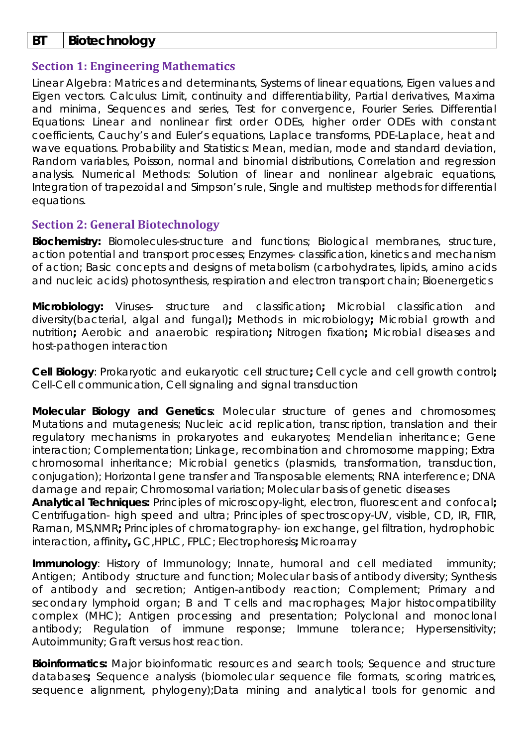## **BT Biotechnology**

## **Section 1: Engineering Mathematics**

Linear Algebra: Matrices and determinants, Systems of linear equations, Eigen values and Eigen vectors. Calculus: Limit, continuity and differentiability, Partial derivatives, Maxima and minima, Sequences and series, Test for convergence, Fourier Series. Differential Equations: Linear and nonlinear first order ODEs, higher order ODEs with constant coefficients, Cauchy's and Euler's equations, Laplace transforms, PDE-Laplace, heat and wave equations. Probability and Statistics: Mean, median, mode and standard deviation, Random variables, Poisson, normal and binomial distributions, Correlation and regression analysis. Numerical Methods: Solution of linear and nonlinear algebraic equations, Integration of trapezoidal and Simpson's rule, Single and multistep methods for differential equations.

# **Section 2: General Biotechnology**

**Biochemistry:** Biomolecules-structure and functions; Biological membranes, structure, action potential and transport processes; Enzymes- classification, kinetics and mechanism of action; Basic concepts and designs of metabolism (carbohydrates, lipids, amino acids and nucleic acids) photosynthesis, respiration and electron transport chain; Bioenergetics

**Microbiology:** Viruses- structure and classification**;** Microbial classification and diversity(bacterial, algal and fungal)**;** Methods in microbiology**;** Microbial growth and nutrition**;** Aerobic and anaerobic respiration**;** Nitrogen fixation**;** Microbial diseases and host-pathogen interaction

**Cell Biology**: Prokaryotic and eukaryotic cell structure**;** Cell cycle and cell growth control**;**  Cell-Cell communication, Cell signaling and signal transduction

**Molecular Biology and Genetics**: Molecular structure of genes and chromosomes; Mutations and mutagenesis; Nucleic acid replication, transcription, translation and their regulatory mechanisms in prokaryotes and eukaryotes; Mendelian inheritance; Gene interaction; Complementation; Linkage, recombination and chromosome mapping; Extra chromosomal inheritance; Microbial genetics (plasmids, transformation, transduction, conjugation); Horizontal gene transfer and Transposable elements; RNA interference; DNA damage and repair; Chromosomal variation; Molecular basis of genetic diseases

**Analytical Techniques:** Principles of microscopy-light, electron, fluorescent and confocal**;**  Centrifugation- high speed and ultra; Principles of spectroscopy-UV, visible, CD, IR, FTIR, Raman, MS,NMR**;** Principles of chromatography- ion exchange, gel filtration, hydrophobic interaction, affinity**,** GC,HPLC, FPLC; Electrophoresis**;** Microarray

**Immunology**: History of Immunology; Innate, humoral and cell mediated immunity; Antigen; Antibody structure and function; Molecular basis of antibody diversity; Synthesis of antibody and secretion; Antigen-antibody reaction; Complement; Primary and secondary lymphoid organ; B and T cells and macrophages; Major histocompatibility complex (MHC); Antigen processing and presentation; Polyclonal and monoclonal antibody; Regulation of immune response; Immune tolerance; Hypersensitivity; Autoimmunity; Graft versus host reaction.

**Bioinformatics:** Major bioinformatic resources and search tools; Sequence and structure databases**;** Sequence analysis (biomolecular sequence file formats, scoring matrices, sequence alignment, phylogeny);Data mining and analytical tools for genomic and